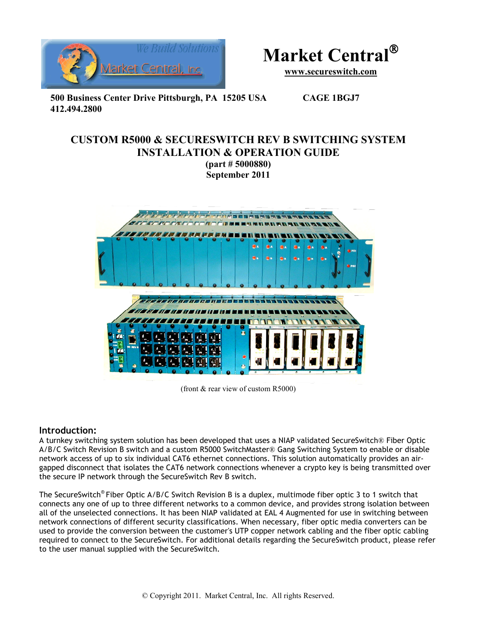



**www.secureswitch.com**

**500 Business Center Drive Pittsburgh, PA 15205 USA CAGE 1BGJ7 412.494.2800** 

## **CUSTOM R5000 & SECURESWITCH REV B SWITCHING SYSTEM INSTALLATION & OPERATION GUIDE**

**(part # 5000880) September 2011** 



(front & rear view of custom R5000)

#### **Introduction:**

A turnkey switching system solution has been developed that uses a NIAP validated SecureSwitch® Fiber Optic A/B/C Switch Revision B switch and a custom R5000 SwitchMaster® Gang Switching System to enable or disable network access of up to six individual CAT6 ethernet connections. This solution automatically provides an airgapped disconnect that isolates the CAT6 network connections whenever a crypto key is being transmitted over the secure IP network through the SecureSwitch Rev B switch.

The SecureSwitch® Fiber Optic A/B/C Switch Revision B is a duplex, multimode fiber optic 3 to 1 switch that connects any one of up to three different networks to a common device, and provides strong isolation between all of the unselected connections. It has been NIAP validated at EAL 4 Augmented for use in switching between network connections of different security classifications. When necessary, fiber optic media converters can be used to provide the conversion between the customer's UTP copper network cabling and the fiber optic cabling required to connect to the SecureSwitch. For additional details regarding the SecureSwitch product, please refer to the user manual supplied with the SecureSwitch.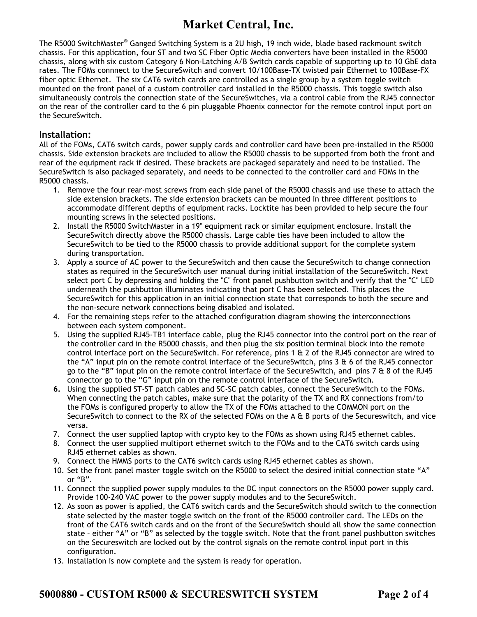## **Market Central, Inc.**

The R5000 SwitchMaster® Ganged Switching System is a 2U high, 19 inch wide, blade based rackmount switch chassis. For this application, four ST and two SC Fiber Optic Media converters have been installed in the R5000 chassis, along with six custom Category 6 Non-Latching A/B Switch cards capable of supporting up to 10 GbE data rates. The FOMs connnect to the SecureSwitch and convert 10/100Base-TX twisted pair Ethernet to 100Base-FX fiber optic Ethernet. The six CAT6 switch cards are controlled as a single group by a system toggle switch mounted on the front panel of a custom controller card installed in the R5000 chassis. This toggle switch also simultaneously controls the connection state of the SecureSwitches, via a control cable from the RJ45 connector on the rear of the controller card to the 6 pin pluggable Phoenix connector for the remote control input port on the SecureSwitch.

### **Installation:**

All of the FOMs, CAT6 switch cards, power supply cards and controller card have been pre-installed in the R5000 chassis. Side extension brackets are included to allow the R5000 chassis to be supported from both the front and rear of the equipment rack if desired. These brackets are packaged separately and need to be installed. The SecureSwitch is also packaged separately, and needs to be connected to the controller card and FOMs in the R5000 chassis.

- 1. Remove the four rear-most screws from each side panel of the R5000 chassis and use these to attach the side extension brackets. The side extension brackets can be mounted in three different positions to accommodate different depths of equipment racks. Locktite has been provided to help secure the four mounting screws in the selected positions.
- 2. Install the R5000 SwitchMaster in a 19" equipment rack or similar equipment enclosure. Install the SecureSwitch directly above the R5000 chassis. Large cable ties have been included to allow the SecureSwitch to be tied to the R5000 chassis to provide additional support for the complete system during transportation.
- 3. Apply a source of AC power to the SecureSwitch and then cause the SecureSwitch to change connection states as required in the SecureSwitch user manual during initial installation of the SecureSwitch. Next select port C by depressing and holding the "C" front panel pushbutton switch and verify that the "C" LED underneath the pushbutton illuminates indicating that port C has been selected. This places the SecureSwitch for this application in an initial connection state that corresponds to both the secure and the non-secure network connections being disabled and isolated.
- 4. For the remaining steps refer to the attached configuration diagram showing the interconnections between each system component.
- 5. Using the supplied RJ45-TB1 interface cable, plug the RJ45 connector into the control port on the rear of the controller card in the R5000 chassis, and then plug the six position terminal block into the remote control interface port on the SecureSwitch. For reference, pins 1 & 2 of the RJ45 connector are wired to the "A" input pin on the remote control interface of the SecureSwitch, pins 3 & 6 of the RJ45 connector go to the "B" input pin on the remote control interface of the SecureSwitch, and pins 7 & 8 of the RJ45 connector go to the "G" input pin on the remote control interface of the SecureSwitch.
- **6.** Using the supplied ST-ST patch cables and SC-SC patch cables, connect the SecureSwitch to the FOMs. When connecting the patch cables, make sure that the polarity of the TX and RX connections from/to the FOMs is configured properly to allow the TX of the FOMs attached to the COMMON port on the SecureSwitch to connect to the RX of the selected FOMs on the A & B ports of the Secureswitch, and vice versa.
- 7. Connect the user supplied laptop with crypto key to the FOMs as shown using RJ45 ethernet cables.
- 8. Connect the user supplied multiport ethernet switch to the FOMs and to the CAT6 switch cards using RJ45 ethernet cables as shown.
- 9. Connect the HMMS ports to the CAT6 switch cards using RJ45 ethernet cables as shown.
- 10. Set the front panel master toggle switch on the R5000 to select the desired initial connection state "A" or "B".
- 11. Connect the supplied power supply modules to the DC input connectors on the R5000 power supply card. Provide 100-240 VAC power to the power supply modules and to the SecureSwitch.
- 12. As soon as power is applied, the CAT6 switch cards and the SecureSwitch should switch to the connection state selected by the master toggle switch on the front of the R5000 controller card. The LEDs on the front of the CAT6 switch cards and on the front of the SecureSwitch should all show the same connection state – either "A" or "B" as selected by the toggle switch. Note that the front panel pushbutton switches on the Secureswitch are locked out by the control signals on the remote control input port in this configuration.
- 13. Installation is now complete and the system is ready for operation.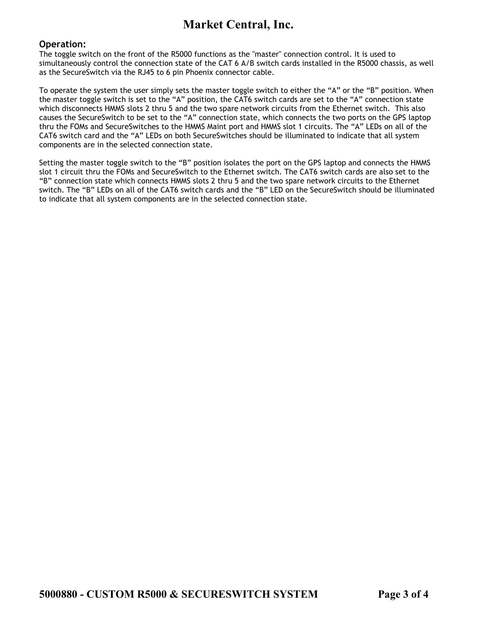## **Market Central, Inc.**

#### **Operation:**

The toggle switch on the front of the R5000 functions as the "master" connection control. It is used to simultaneously control the connection state of the CAT 6 A/B switch cards installed in the R5000 chassis, as well as the SecureSwitch via the RJ45 to 6 pin Phoenix connector cable.

To operate the system the user simply sets the master toggle switch to either the "A" or the "B" position. When the master toggle switch is set to the "A" position, the CAT6 switch cards are set to the "A" connection state which disconnects HMMS slots 2 thru 5 and the two spare network circuits from the Ethernet switch. This also causes the SecureSwitch to be set to the "A" connection state, which connects the two ports on the GPS laptop thru the FOMs and SecureSwitches to the HMMS Maint port and HMMS slot 1 circuits. The "A" LEDs on all of the CAT6 switch card and the "A" LEDs on both SecureSwitches should be illuminated to indicate that all system components are in the selected connection state.

Setting the master toggle switch to the "B" position isolates the port on the GPS laptop and connects the HMMS slot 1 circuit thru the FOMs and SecureSwitch to the Ethernet switch. The CAT6 switch cards are also set to the "B" connection state which connects HMMS slots 2 thru 5 and the two spare network circuits to the Ethernet switch. The "B" LEDs on all of the CAT6 switch cards and the "B" LED on the SecureSwitch should be illuminated to indicate that all system components are in the selected connection state.